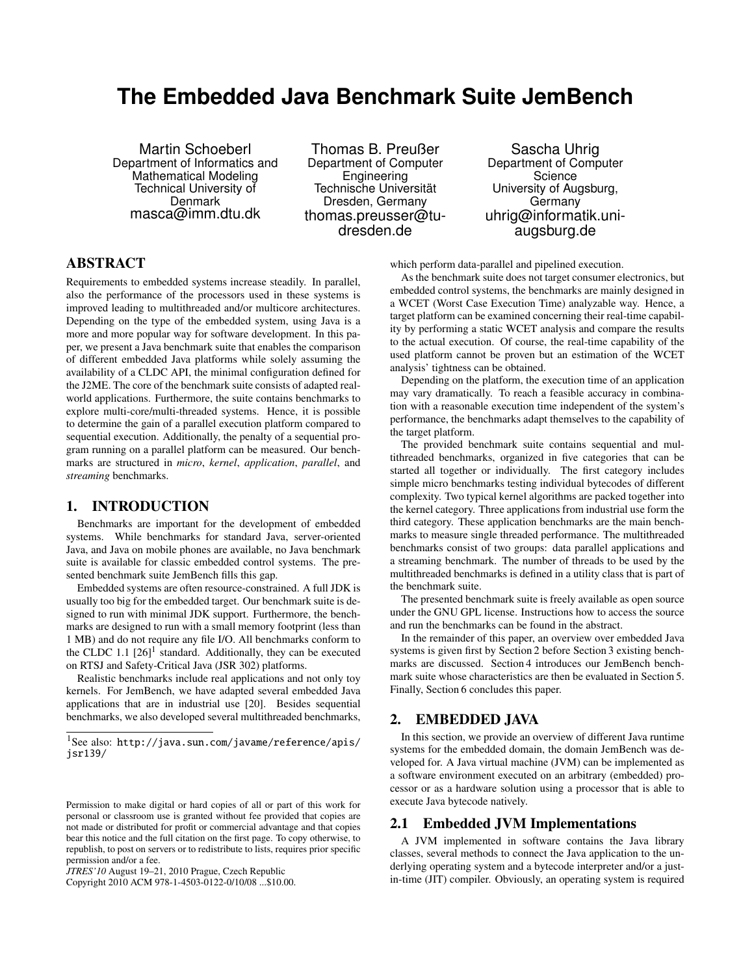# <span id="page-0-2"></span>**The Embedded Java Benchmark Suite JemBench**

Martin Schoeberl Department of Informatics and Mathematical Modeling Technical University of **Denmark** masca@imm.dtu.dk

Thomas B. Preußer Department of Computer Engineering Technische Universität Dresden, Germany thomas.preusser@tudresden.de

Sascha Uhrig Department of Computer **Science** University of Augsburg, Germany uhrig@informatik.uniaugsburg.de

# ABSTRACT

Requirements to embedded systems increase steadily. In parallel, also the performance of the processors used in these systems is improved leading to multithreaded and/or multicore architectures. Depending on the type of the embedded system, using Java is a more and more popular way for software development. In this paper, we present a Java benchmark suite that enables the comparison of different embedded Java platforms while solely assuming the availability of a CLDC API, the minimal configuration defined for the J2ME. The core of the benchmark suite consists of adapted realworld applications. Furthermore, the suite contains benchmarks to explore multi-core/multi-threaded systems. Hence, it is possible to determine the gain of a parallel execution platform compared to sequential execution. Additionally, the penalty of a sequential program running on a parallel platform can be measured. Our benchmarks are structured in *micro*, *kernel*, *application*, *parallel*, and *streaming* benchmarks.

# 1. INTRODUCTION

Benchmarks are important for the development of embedded systems. While benchmarks for standard Java, server-oriented Java, and Java on mobile phones are available, no Java benchmark suite is available for classic embedded control systems. The presented benchmark suite JemBench fills this gap.

Embedded systems are often resource-constrained. A full JDK is usually too big for the embedded target. Our benchmark suite is designed to run with minimal JDK support. Furthermore, the benchmarks are designed to run with a small memory footprint (less than 1 MB) and do not require any file I/O. All benchmarks conform to the CLDC [1](#page-0-0).1  $[26]$ <sup>1</sup> standard. Additionally, they can be executed on RTSJ and Safety-Critical Java (JSR 302) platforms.

Realistic benchmarks include real applications and not only toy kernels. For JemBench, we have adapted several embedded Java applications that are in industrial use [\[20\]](#page-6-1). Besides sequential benchmarks, we also developed several multithreaded benchmarks,

Copyright 2010 ACM 978-1-4503-0122-0/10/08 ...\$10.00.

which perform data-parallel and pipelined execution.

As the benchmark suite does not target consumer electronics, but embedded control systems, the benchmarks are mainly designed in a WCET (Worst Case Execution Time) analyzable way. Hence, a target platform can be examined concerning their real-time capability by performing a static WCET analysis and compare the results to the actual execution. Of course, the real-time capability of the used platform cannot be proven but an estimation of the WCET analysis' tightness can be obtained.

Depending on the platform, the execution time of an application may vary dramatically. To reach a feasible accuracy in combination with a reasonable execution time independent of the system's performance, the benchmarks adapt themselves to the capability of the target platform.

The provided benchmark suite contains sequential and multithreaded benchmarks, organized in five categories that can be started all together or individually. The first category includes simple micro benchmarks testing individual bytecodes of different complexity. Two typical kernel algorithms are packed together into the kernel category. Three applications from industrial use form the third category. These application benchmarks are the main benchmarks to measure single threaded performance. The multithreaded benchmarks consist of two groups: data parallel applications and a streaming benchmark. The number of threads to be used by the multithreaded benchmarks is defined in a utility class that is part of the benchmark suite.

The presented benchmark suite is freely available as open source under the GNU GPL license. Instructions how to access the source and run the benchmarks can be found in the abstract.

In the remainder of this paper, an overview over embedded Java systems is given first by Section [2](#page-0-1) before Section [3](#page-1-0) existing benchmarks are discussed. Section [4](#page-2-0) introduces our JemBench benchmark suite whose characteristics are then be evaluated in Section [5.](#page-5-0) Finally, Section [6](#page-5-1) concludes this paper.

# <span id="page-0-1"></span>2. EMBEDDED JAVA

In this section, we provide an overview of different Java runtime systems for the embedded domain, the domain JemBench was developed for. A Java virtual machine (JVM) can be implemented as a software environment executed on an arbitrary (embedded) processor or as a hardware solution using a processor that is able to execute Java bytecode natively.

# 2.1 Embedded JVM Implementations

A JVM implemented in software contains the Java library classes, several methods to connect the Java application to the underlying operating system and a bytecode interpreter and/or a justin-time (JIT) compiler. Obviously, an operating system is required

<span id="page-0-0"></span><sup>1</sup>See also: [http://java.sun.com/javame/reference/apis/](http://java.sun.com/javame/reference/apis/jsr139/) [jsr139/](http://java.sun.com/javame/reference/apis/jsr139/)

Permission to make digital or hard copies of all or part of this work for personal or classroom use is granted without fee provided that copies are not made or distributed for profit or commercial advantage and that copies bear this notice and the full citation on the first page. To copy otherwise, to republish, to post on servers or to redistribute to lists, requires prior specific permission and/or a fee.

*JTRES'10* August 19–21, 2010 Prague, Czech Republic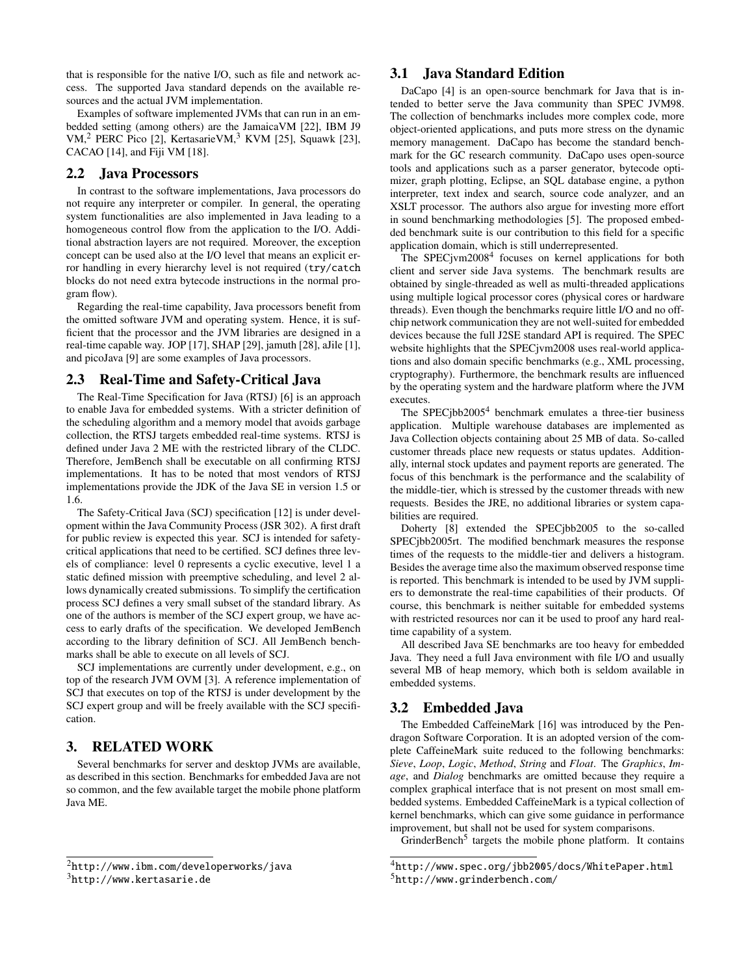that is responsible for the native I/O, such as file and network access. The supported Java standard depends on the available resources and the actual JVM implementation.

Examples of software implemented JVMs that can run in an embedded setting (among others) are the JamaicaVM [\[22\]](#page-6-2), IBM J9 VM,<sup>[2](#page-1-1)</sup> PERC Pico [\[2\]](#page-5-2), KertasarieVM,<sup>[3](#page-1-2)</sup> KVM [\[25\]](#page-6-3), Squawk [\[23\]](#page-6-4), CACAO [\[14\]](#page-6-5), and Fiji VM [\[18\]](#page-6-6).

# 2.2 Java Processors

In contrast to the software implementations, Java processors do not require any interpreter or compiler. In general, the operating system functionalities are also implemented in Java leading to a homogeneous control flow from the application to the I/O. Additional abstraction layers are not required. Moreover, the exception concept can be used also at the I/O level that means an explicit error handling in every hierarchy level is not required (try/catch blocks do not need extra bytecode instructions in the normal program flow).

Regarding the real-time capability, Java processors benefit from the omitted software JVM and operating system. Hence, it is sufficient that the processor and the JVM libraries are designed in a real-time capable way. JOP [\[17\]](#page-6-7), SHAP [\[29\]](#page-6-8), jamuth [\[28\]](#page-6-9), aJile [\[1\]](#page-5-3), and picoJava [\[9\]](#page-6-10) are some examples of Java processors.

# 2.3 Real-Time and Safety-Critical Java

The Real-Time Specification for Java (RTSJ) [\[6\]](#page-6-11) is an approach to enable Java for embedded systems. With a stricter definition of the scheduling algorithm and a memory model that avoids garbage collection, the RTSJ targets embedded real-time systems. RTSJ is defined under Java 2 ME with the restricted library of the CLDC. Therefore, JemBench shall be executable on all confirming RTSJ implementations. It has to be noted that most vendors of RTSJ implementations provide the JDK of the Java SE in version 1.5 or 1.6.

The Safety-Critical Java (SCJ) specification [\[12\]](#page-6-12) is under development within the Java Community Process (JSR 302). A first draft for public review is expected this year. SCJ is intended for safetycritical applications that need to be certified. SCJ defines three levels of compliance: level 0 represents a cyclic executive, level 1 a static defined mission with preemptive scheduling, and level 2 allows dynamically created submissions. To simplify the certification process SCJ defines a very small subset of the standard library. As one of the authors is member of the SCJ expert group, we have access to early drafts of the specification. We developed JemBench according to the library definition of SCJ. All JemBench benchmarks shall be able to execute on all levels of SCJ.

SCJ implementations are currently under development, e.g., on top of the research JVM OVM [\[3\]](#page-5-4). A reference implementation of SCJ that executes on top of the RTSJ is under development by the SCJ expert group and will be freely available with the SCJ specification.

# <span id="page-1-0"></span>3. RELATED WORK

Several benchmarks for server and desktop JVMs are available, as described in this section. Benchmarks for embedded Java are not so common, and the few available target the mobile phone platform Java ME.

# 3.1 Java Standard Edition

DaCapo [\[4\]](#page-6-13) is an open-source benchmark for Java that is intended to better serve the Java community than SPEC JVM98. The collection of benchmarks includes more complex code, more object-oriented applications, and puts more stress on the dynamic memory management. DaCapo has become the standard benchmark for the GC research community. DaCapo uses open-source tools and applications such as a parser generator, bytecode optimizer, graph plotting, Eclipse, an SQL database engine, a python interpreter, text index and search, source code analyzer, and an XSLT processor. The authors also argue for investing more effort in sound benchmarking methodologies [\[5\]](#page-6-14). The proposed embedded benchmark suite is our contribution to this field for a specific application domain, which is still underrepresented.

The SPECjvm2008<sup>[4](#page-0-2)</sup> focuses on kernel applications for both client and server side Java systems. The benchmark results are obtained by single-threaded as well as multi-threaded applications using multiple logical processor cores (physical cores or hardware threads). Even though the benchmarks require little I/O and no offchip network communication they are not well-suited for embedded devices because the full J2SE standard API is required. The SPEC website highlights that the SPECjvm2008 uses real-world applications and also domain specific benchmarks (e.g., XML processing, cryptography). Furthermore, the benchmark results are influenced by the operating system and the hardware platform where the JVM executes.

The SPEC $j$ bb2005<sup>[4](#page-1-3)</sup> benchmark emulates a three-tier business application. Multiple warehouse databases are implemented as Java Collection objects containing about 25 MB of data. So-called customer threads place new requests or status updates. Additionally, internal stock updates and payment reports are generated. The focus of this benchmark is the performance and the scalability of the middle-tier, which is stressed by the customer threads with new requests. Besides the JRE, no additional libraries or system capabilities are required.

Doherty [\[8\]](#page-6-15) extended the SPECjbb2005 to the so-called SPECjbb2005rt. The modified benchmark measures the response times of the requests to the middle-tier and delivers a histogram. Besides the average time also the maximum observed response time is reported. This benchmark is intended to be used by JVM suppliers to demonstrate the real-time capabilities of their products. Of course, this benchmark is neither suitable for embedded systems with restricted resources nor can it be used to proof any hard realtime capability of a system.

All described Java SE benchmarks are too heavy for embedded Java. They need a full Java environment with file I/O and usually several MB of heap memory, which both is seldom available in embedded systems.

# 3.2 Embedded Java

The Embedded CaffeineMark [\[16\]](#page-6-16) was introduced by the Pendragon Software Corporation. It is an adopted version of the complete CaffeineMark suite reduced to the following benchmarks: *Sieve*, *Loop*, *Logic*, *Method*, *String* and *Float*. The *Graphics*, *Image*, and *Dialog* benchmarks are omitted because they require a complex graphical interface that is not present on most small embedded systems. Embedded CaffeineMark is a typical collection of kernel benchmarks, which can give some guidance in performance improvement, but shall not be used for system comparisons.

GrinderBench<sup>[5](#page-1-4)</sup> targets the mobile phone platform. It contains

<span id="page-1-1"></span><sup>2</sup><http://www.ibm.com/developerworks/java>

<span id="page-1-2"></span><sup>3</sup><http://www.kertasarie.de>

<span id="page-1-4"></span><span id="page-1-3"></span><sup>4</sup><http://www.spec.org/jbb2005/docs/WhitePaper.html> <sup>5</sup><http://www.grinderbench.com/>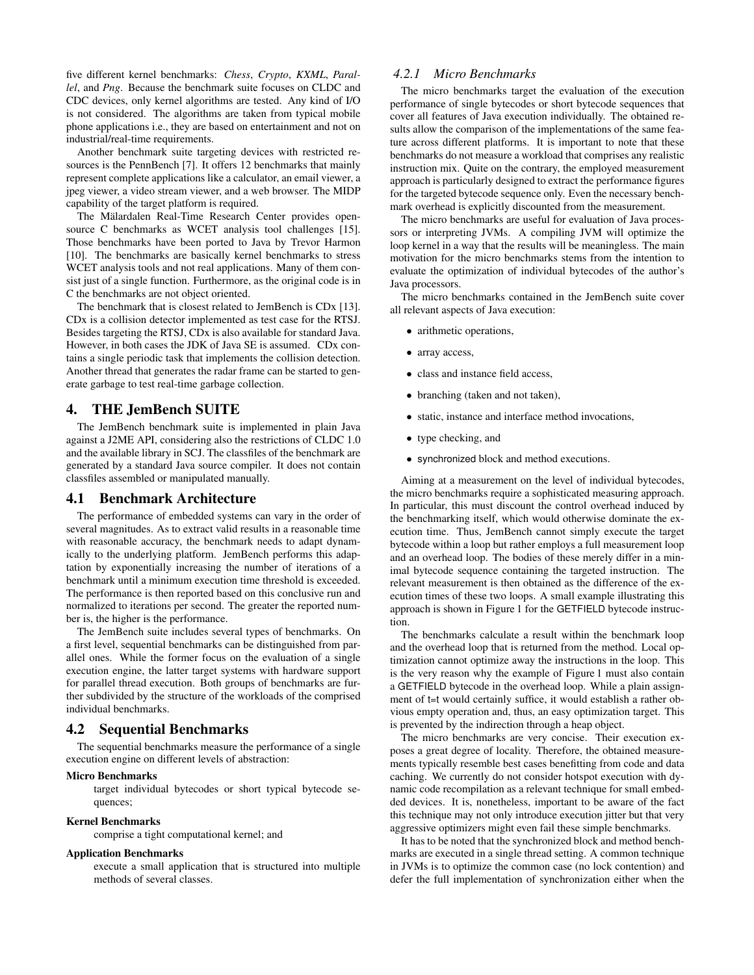five different kernel benchmarks: *Chess*, *Crypto*, *KXML*, *Parallel*, and *Png*. Because the benchmark suite focuses on CLDC and CDC devices, only kernel algorithms are tested. Any kind of I/O is not considered. The algorithms are taken from typical mobile phone applications i.e., they are based on entertainment and not on industrial/real-time requirements.

Another benchmark suite targeting devices with restricted resources is the PennBench [\[7\]](#page-6-17). It offers 12 benchmarks that mainly represent complete applications like a calculator, an email viewer, a jpeg viewer, a video stream viewer, and a web browser. The MIDP capability of the target platform is required.

The Mälardalen Real-Time Research Center provides opensource C benchmarks as WCET analysis tool challenges [\[15\]](#page-6-18). Those benchmarks have been ported to Java by Trevor Harmon [\[10\]](#page-6-19). The benchmarks are basically kernel benchmarks to stress WCET analysis tools and not real applications. Many of them consist just of a single function. Furthermore, as the original code is in C the benchmarks are not object oriented.

The benchmark that is closest related to JemBench is CDx [\[13\]](#page-6-20). CDx is a collision detector implemented as test case for the RTSJ. Besides targeting the RTSJ, CDx is also available for standard Java. However, in both cases the JDK of Java SE is assumed. CDx contains a single periodic task that implements the collision detection. Another thread that generates the radar frame can be started to generate garbage to test real-time garbage collection.

# <span id="page-2-0"></span>4. THE JemBench SUITE

The JemBench benchmark suite is implemented in plain Java against a J2ME API, considering also the restrictions of CLDC 1.0 and the available library in SCJ. The classfiles of the benchmark are generated by a standard Java source compiler. It does not contain classfiles assembled or manipulated manually.

### 4.1 Benchmark Architecture

The performance of embedded systems can vary in the order of several magnitudes. As to extract valid results in a reasonable time with reasonable accuracy, the benchmark needs to adapt dynamically to the underlying platform. JemBench performs this adaptation by exponentially increasing the number of iterations of a benchmark until a minimum execution time threshold is exceeded. The performance is then reported based on this conclusive run and normalized to iterations per second. The greater the reported number is, the higher is the performance.

The JemBench suite includes several types of benchmarks. On a first level, sequential benchmarks can be distinguished from parallel ones. While the former focus on the evaluation of a single execution engine, the latter target systems with hardware support for parallel thread execution. Both groups of benchmarks are further subdivided by the structure of the workloads of the comprised individual benchmarks.

# 4.2 Sequential Benchmarks

The sequential benchmarks measure the performance of a single execution engine on different levels of abstraction:

#### Micro Benchmarks

target individual bytecodes or short typical bytecode sequences;

#### Kernel Benchmarks

comprise a tight computational kernel; and

#### Application Benchmarks

execute a small application that is structured into multiple methods of several classes.

### *4.2.1 Micro Benchmarks*

The micro benchmarks target the evaluation of the execution performance of single bytecodes or short bytecode sequences that cover all features of Java execution individually. The obtained results allow the comparison of the implementations of the same feature across different platforms. It is important to note that these benchmarks do not measure a workload that comprises any realistic instruction mix. Quite on the contrary, the employed measurement approach is particularly designed to extract the performance figures for the targeted bytecode sequence only. Even the necessary benchmark overhead is explicitly discounted from the measurement.

The micro benchmarks are useful for evaluation of Java processors or interpreting JVMs. A compiling JVM will optimize the loop kernel in a way that the results will be meaningless. The main motivation for the micro benchmarks stems from the intention to evaluate the optimization of individual bytecodes of the author's Java processors.

The micro benchmarks contained in the JemBench suite cover all relevant aspects of Java execution:

- arithmetic operations,
- array access.
- class and instance field access,
- branching (taken and not taken),
- static, instance and interface method invocations,
- type checking, and
- synchronized block and method executions.

Aiming at a measurement on the level of individual bytecodes, the micro benchmarks require a sophisticated measuring approach. In particular, this must discount the control overhead induced by the benchmarking itself, which would otherwise dominate the execution time. Thus, JemBench cannot simply execute the target bytecode within a loop but rather employs a full measurement loop and an overhead loop. The bodies of these merely differ in a minimal bytecode sequence containing the targeted instruction. The relevant measurement is then obtained as the difference of the execution times of these two loops. A small example illustrating this approach is shown in Figure [1](#page-3-0) for the GETFIELD bytecode instruction.

The benchmarks calculate a result within the benchmark loop and the overhead loop that is returned from the method. Local optimization cannot optimize away the instructions in the loop. This is the very reason why the example of Figure [1](#page-3-0) must also contain a GETFIELD bytecode in the overhead loop. While a plain assignment of t=t would certainly suffice, it would establish a rather obvious empty operation and, thus, an easy optimization target. This is prevented by the indirection through a heap object.

The micro benchmarks are very concise. Their execution exposes a great degree of locality. Therefore, the obtained measurements typically resemble best cases benefitting from code and data caching. We currently do not consider hotspot execution with dynamic code recompilation as a relevant technique for small embedded devices. It is, nonetheless, important to be aware of the fact this technique may not only introduce execution jitter but that very aggressive optimizers might even fail these simple benchmarks.

It has to be noted that the synchronized block and method benchmarks are executed in a single thread setting. A common technique in JVMs is to optimize the common case (no lock contention) and defer the full implementation of synchronization either when the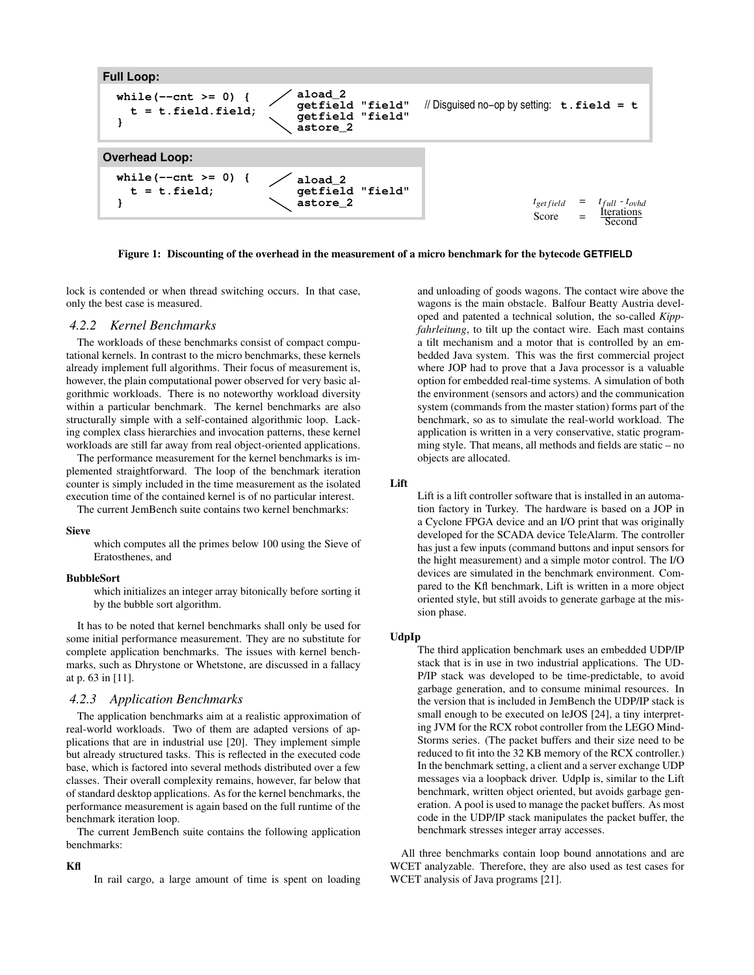

<span id="page-3-0"></span>Figure 1: Discounting of the overhead in the measurement of a micro benchmark for the bytecode **GETFIELD**

lock is contended or when thread switching occurs. In that case, only the best case is measured.

### *4.2.2 Kernel Benchmarks*

The workloads of these benchmarks consist of compact computational kernels. In contrast to the micro benchmarks, these kernels already implement full algorithms. Their focus of measurement is, however, the plain computational power observed for very basic algorithmic workloads. There is no noteworthy workload diversity within a particular benchmark. The kernel benchmarks are also structurally simple with a self-contained algorithmic loop. Lacking complex class hierarchies and invocation patterns, these kernel workloads are still far away from real object-oriented applications.

The performance measurement for the kernel benchmarks is implemented straightforward. The loop of the benchmark iteration counter is simply included in the time measurement as the isolated execution time of the contained kernel is of no particular interest.

The current JemBench suite contains two kernel benchmarks:

#### Sieve

which computes all the primes below 100 using the Sieve of Eratosthenes, and

#### BubbleSort

which initializes an integer array bitonically before sorting it by the bubble sort algorithm.

It has to be noted that kernel benchmarks shall only be used for some initial performance measurement. They are no substitute for complete application benchmarks. The issues with kernel benchmarks, such as Dhrystone or Whetstone, are discussed in a fallacy at p. 63 in [\[11\]](#page-6-21).

#### *4.2.3 Application Benchmarks*

The application benchmarks aim at a realistic approximation of real-world workloads. Two of them are adapted versions of applications that are in industrial use [\[20\]](#page-6-1). They implement simple but already structured tasks. This is reflected in the executed code base, which is factored into several methods distributed over a few classes. Their overall complexity remains, however, far below that of standard desktop applications. As for the kernel benchmarks, the performance measurement is again based on the full runtime of the benchmark iteration loop.

The current JemBench suite contains the following application benchmarks:

#### Kfl

In rail cargo, a large amount of time is spent on loading

and unloading of goods wagons. The contact wire above the wagons is the main obstacle. Balfour Beatty Austria developed and patented a technical solution, the so-called *Kippfahrleitung*, to tilt up the contact wire. Each mast contains a tilt mechanism and a motor that is controlled by an embedded Java system. This was the first commercial project where JOP had to prove that a Java processor is a valuable option for embedded real-time systems. A simulation of both the environment (sensors and actors) and the communication system (commands from the master station) forms part of the benchmark, so as to simulate the real-world workload. The application is written in a very conservative, static programming style. That means, all methods and fields are static – no objects are allocated.

#### Lift

Lift is a lift controller software that is installed in an automation factory in Turkey. The hardware is based on a JOP in a Cyclone FPGA device and an I/O print that was originally developed for the SCADA device TeleAlarm. The controller has just a few inputs (command buttons and input sensors for the hight measurement) and a simple motor control. The I/O devices are simulated in the benchmark environment. Compared to the Kfl benchmark, Lift is written in a more object oriented style, but still avoids to generate garbage at the mission phase.

#### UdpIp

The third application benchmark uses an embedded UDP/IP stack that is in use in two industrial applications. The UD-P/IP stack was developed to be time-predictable, to avoid garbage generation, and to consume minimal resources. In the version that is included in JemBench the UDP/IP stack is small enough to be executed on leJOS [\[24\]](#page-6-22), a tiny interpreting JVM for the RCX robot controller from the LEGO Mind-Storms series. (The packet buffers and their size need to be reduced to fit into the 32 KB memory of the RCX controller.) In the benchmark setting, a client and a server exchange UDP messages via a loopback driver. UdpIp is, similar to the Lift benchmark, written object oriented, but avoids garbage generation. A pool is used to manage the packet buffers. As most code in the UDP/IP stack manipulates the packet buffer, the benchmark stresses integer array accesses.

All three benchmarks contain loop bound annotations and are WCET analyzable. Therefore, they are also used as test cases for WCET analysis of Java programs [\[21\]](#page-6-23).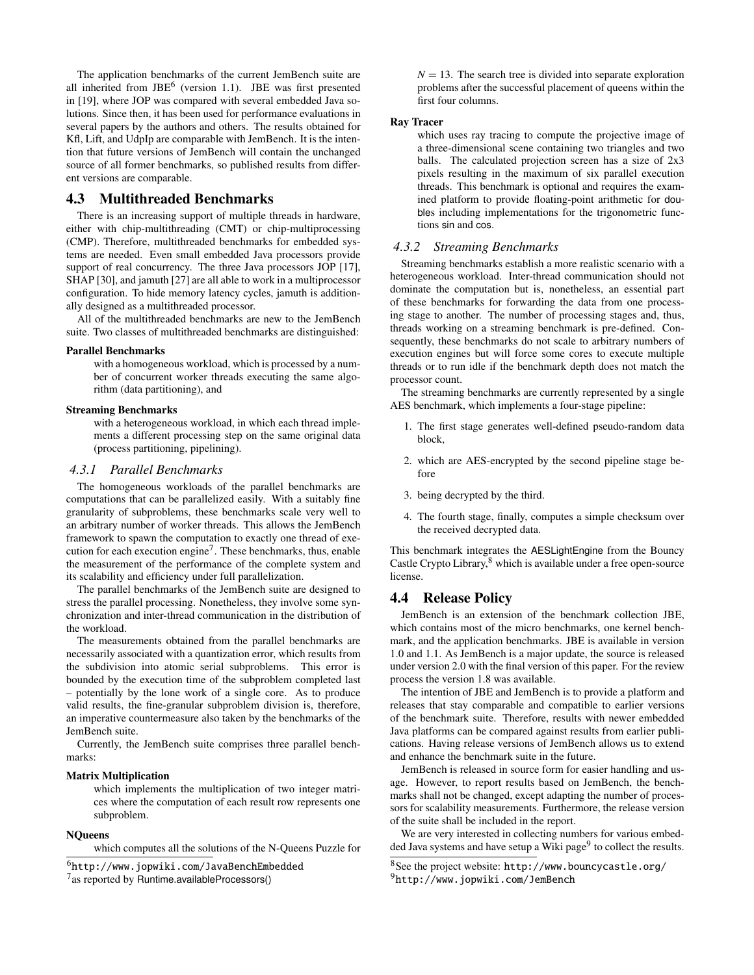The application benchmarks of the current JemBench suite are all inherited from  $JBE^6$  $JBE^6$  (version 1.1). JBE was first presented in [\[19\]](#page-6-24), where JOP was compared with several embedded Java solutions. Since then, it has been used for performance evaluations in several papers by the authors and others. The results obtained for Kfl, Lift, and UdpIp are comparable with JemBench. It is the intention that future versions of JemBench will contain the unchanged source of all former benchmarks, so published results from different versions are comparable.

### 4.3 Multithreaded Benchmarks

There is an increasing support of multiple threads in hardware, either with chip-multithreading (CMT) or chip-multiprocessing (CMP). Therefore, multithreaded benchmarks for embedded systems are needed. Even small embedded Java processors provide support of real concurrency. The three Java processors JOP [\[17\]](#page-6-7), SHAP [\[30\]](#page-6-25), and jamuth [\[27\]](#page-6-26) are all able to work in a multiprocessor configuration. To hide memory latency cycles, jamuth is additionally designed as a multithreaded processor.

All of the multithreaded benchmarks are new to the JemBench suite. Two classes of multithreaded benchmarks are distinguished:

#### Parallel Benchmarks

with a homogeneous workload, which is processed by a number of concurrent worker threads executing the same algorithm (data partitioning), and

#### Streaming Benchmarks

with a heterogeneous workload, in which each thread implements a different processing step on the same original data (process partitioning, pipelining).

#### *4.3.1 Parallel Benchmarks*

The homogeneous workloads of the parallel benchmarks are computations that can be parallelized easily. With a suitably fine granularity of subproblems, these benchmarks scale very well to an arbitrary number of worker threads. This allows the JemBench framework to spawn the computation to exactly one thread of exe-cution for each execution engine<sup>[7](#page-4-1)</sup>. These benchmarks, thus, enable the measurement of the performance of the complete system and its scalability and efficiency under full parallelization.

The parallel benchmarks of the JemBench suite are designed to stress the parallel processing. Nonetheless, they involve some synchronization and inter-thread communication in the distribution of the workload.

The measurements obtained from the parallel benchmarks are necessarily associated with a quantization error, which results from the subdivision into atomic serial subproblems. This error is bounded by the execution time of the subproblem completed last – potentially by the lone work of a single core. As to produce valid results, the fine-granular subproblem division is, therefore, an imperative countermeasure also taken by the benchmarks of the JemBench suite.

Currently, the JemBench suite comprises three parallel benchmarks:

#### Matrix Multiplication

which implements the multiplication of two integer matrices where the computation of each result row represents one subproblem.

#### **NOueens**

which computes all the solutions of the N-Queens Puzzle for

<span id="page-4-0"></span><sup>6</sup><http://www.jopwiki.com/JavaBenchEmbedded>

<span id="page-4-1"></span> $7$ as reported by Runtime.availableProcessors()

 $N = 13$ . The search tree is divided into separate exploration problems after the successful placement of queens within the first four columns.

#### Ray Tracer

which uses ray tracing to compute the projective image of a three-dimensional scene containing two triangles and two balls. The calculated projection screen has a size of 2x3 pixels resulting in the maximum of six parallel execution threads. This benchmark is optional and requires the examined platform to provide floating-point arithmetic for doubles including implementations for the trigonometric functions sin and cos.

### *4.3.2 Streaming Benchmarks*

Streaming benchmarks establish a more realistic scenario with a heterogeneous workload. Inter-thread communication should not dominate the computation but is, nonetheless, an essential part of these benchmarks for forwarding the data from one processing stage to another. The number of processing stages and, thus, threads working on a streaming benchmark is pre-defined. Consequently, these benchmarks do not scale to arbitrary numbers of execution engines but will force some cores to execute multiple threads or to run idle if the benchmark depth does not match the processor count.

The streaming benchmarks are currently represented by a single AES benchmark, which implements a four-stage pipeline:

- 1. The first stage generates well-defined pseudo-random data block,
- 2. which are AES-encrypted by the second pipeline stage before
- 3. being decrypted by the third.
- 4. The fourth stage, finally, computes a simple checksum over the received decrypted data.

This benchmark integrates the AESLightEngine from the Bouncy Castle Crypto Library,<sup>[8](#page-4-2)</sup> which is available under a free open-source license.

# 4.4 Release Policy

JemBench is an extension of the benchmark collection JBE, which contains most of the micro benchmarks, one kernel benchmark, and the application benchmarks. JBE is available in version 1.0 and 1.1. As JemBench is a major update, the source is released under version 2.0 with the final version of this paper. For the review process the version 1.8 was available.

The intention of JBE and JemBench is to provide a platform and releases that stay comparable and compatible to earlier versions of the benchmark suite. Therefore, results with newer embedded Java platforms can be compared against results from earlier publications. Having release versions of JemBench allows us to extend and enhance the benchmark suite in the future.

JemBench is released in source form for easier handling and usage. However, to report results based on JemBench, the benchmarks shall not be changed, except adapting the number of processors for scalability measurements. Furthermore, the release version of the suite shall be included in the report.

We are very interested in collecting numbers for various embedded Java systems and have setup a Wiki page $9$  to collect the results.

<span id="page-4-3"></span><span id="page-4-2"></span><sup>8</sup>See the project website: <http://www.bouncycastle.org/> <sup>9</sup><http://www.jopwiki.com/JemBench>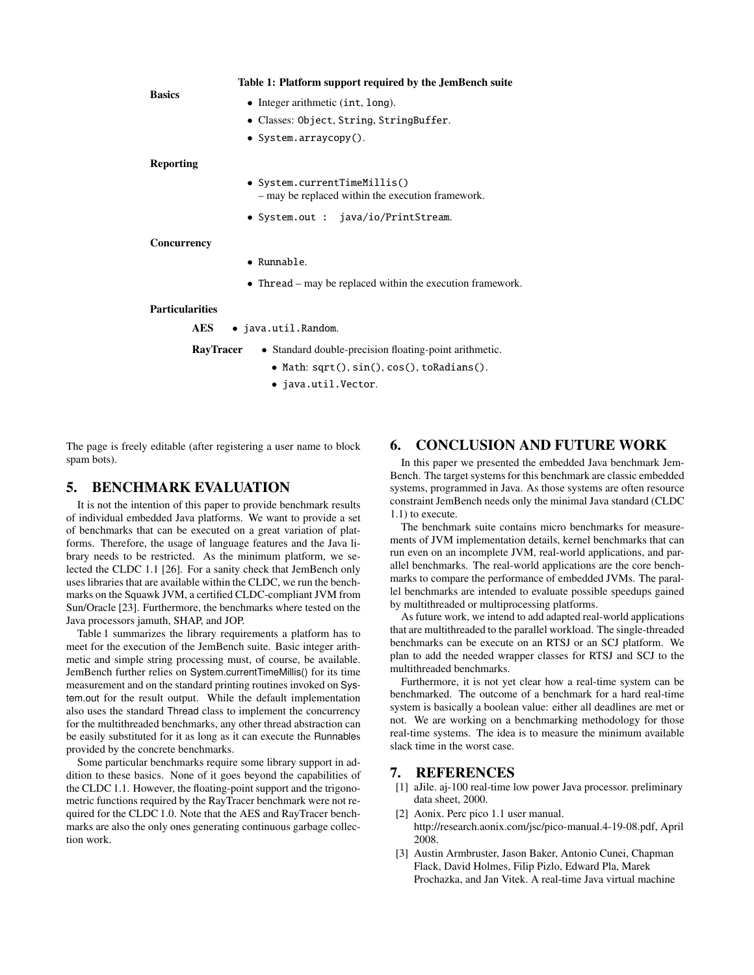<span id="page-5-5"></span>

| <b>Basics</b>          | Table 1: Platform support required by the JemBench suite                          |
|------------------------|-----------------------------------------------------------------------------------|
|                        | • Integer arithmetic $(int, long)$ .                                              |
|                        | • Classes: Object, String, StringBuffer.                                          |
|                        | • System.arraycopy().                                                             |
| <b>Reporting</b>       |                                                                                   |
|                        | • System.currentTimeMillis()<br>- may be replaced within the execution framework. |
|                        | • System.out : java/io/PrintStream.                                               |
| Concurrency            |                                                                                   |
|                        | • Runnable.                                                                       |
|                        | • Thread $-$ may be replaced within the execution framework.                      |
| <b>Particularities</b> |                                                                                   |
| <b>AES</b>             | • java.util.Random.                                                               |
|                        | • Standard double-precision floating-point arithmetic.<br><b>RavTracer</b>        |

- Math: sqrt(), sin(), cos(), toRadians().
- java.util.Vector.

The page is freely editable (after registering a user name to block spam bots).

# <span id="page-5-0"></span>5. BENCHMARK EVALUATION

It is not the intention of this paper to provide benchmark results of individual embedded Java platforms. We want to provide a set of benchmarks that can be executed on a great variation of platforms. Therefore, the usage of language features and the Java library needs to be restricted. As the minimum platform, we selected the CLDC 1.1 [\[26\]](#page-6-0). For a sanity check that JemBench only uses libraries that are available within the CLDC, we run the benchmarks on the Squawk JVM, a certified CLDC-compliant JVM from Sun/Oracle [\[23\]](#page-6-4). Furthermore, the benchmarks where tested on the Java processors jamuth, SHAP, and JOP.

Table [1](#page-5-5) summarizes the library requirements a platform has to meet for the execution of the JemBench suite. Basic integer arithmetic and simple string processing must, of course, be available. JemBench further relies on System.currentTimeMillis() for its time measurement and on the standard printing routines invoked on System.out for the result output. While the default implementation also uses the standard Thread class to implement the concurrency for the multithreaded benchmarks, any other thread abstraction can be easily substituted for it as long as it can execute the Runnables provided by the concrete benchmarks.

Some particular benchmarks require some library support in addition to these basics. None of it goes beyond the capabilities of the CLDC 1.1. However, the floating-point support and the trigonometric functions required by the RayTracer benchmark were not required for the CLDC 1.0. Note that the AES and RayTracer benchmarks are also the only ones generating continuous garbage collection work.

# <span id="page-5-1"></span>6. CONCLUSION AND FUTURE WORK

In this paper we presented the embedded Java benchmark Jem-Bench. The target systems for this benchmark are classic embedded systems, programmed in Java. As those systems are often resource constraint JemBench needs only the minimal Java standard (CLDC 1.1) to execute.

The benchmark suite contains micro benchmarks for measurements of JVM implementation details, kernel benchmarks that can run even on an incomplete JVM, real-world applications, and parallel benchmarks. The real-world applications are the core benchmarks to compare the performance of embedded JVMs. The parallel benchmarks are intended to evaluate possible speedups gained by multithreaded or multiprocessing platforms.

As future work, we intend to add adapted real-world applications that are multithreaded to the parallel workload. The single-threaded benchmarks can be execute on an RTSJ or an SCJ platform. We plan to add the needed wrapper classes for RTSJ and SCJ to the multithreaded benchmarks.

Furthermore, it is not yet clear how a real-time system can be benchmarked. The outcome of a benchmark for a hard real-time system is basically a boolean value: either all deadlines are met or not. We are working on a benchmarking methodology for those real-time systems. The idea is to measure the minimum available slack time in the worst case.

### 7. REFERENCES

- <span id="page-5-3"></span>[1] aJile. aj-100 real-time low power Java processor. preliminary data sheet, 2000.
- <span id="page-5-2"></span>[2] Aonix. Perc pico 1.1 user manual. http://research.aonix.com/jsc/pico-manual.4-19-08.pdf, April 2008.
- <span id="page-5-4"></span>[3] Austin Armbruster, Jason Baker, Antonio Cunei, Chapman Flack, David Holmes, Filip Pizlo, Edward Pla, Marek Prochazka, and Jan Vitek. A real-time Java virtual machine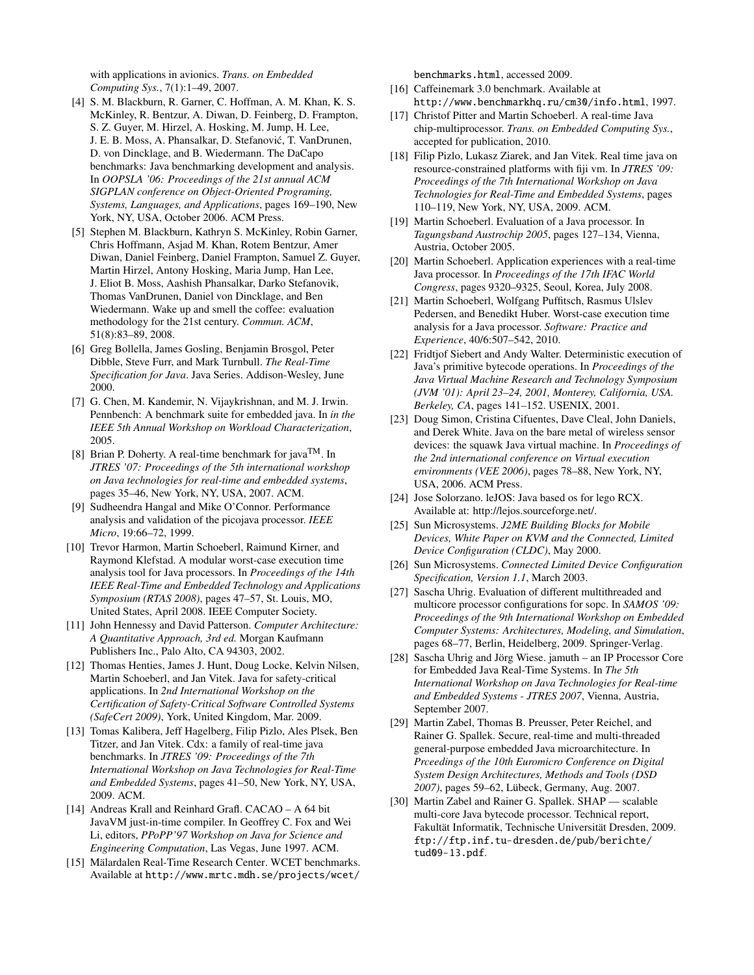with applications in avionics. *Trans. on Embedded Computing Sys.*, 7(1):1–49, 2007.

- <span id="page-6-13"></span>[4] S. M. Blackburn, R. Garner, C. Hoffman, A. M. Khan, K. S. McKinley, R. Bentzur, A. Diwan, D. Feinberg, D. Frampton, S. Z. Guyer, M. Hirzel, A. Hosking, M. Jump, H. Lee, J. E. B. Moss, A. Phansalkar, D. Stefanovic, T. VanDrunen, ´ D. von Dincklage, and B. Wiedermann. The DaCapo benchmarks: Java benchmarking development and analysis. In *OOPSLA '06: Proceedings of the 21st annual ACM SIGPLAN conference on Object-Oriented Programing, Systems, Languages, and Applications*, pages 169–190, New York, NY, USA, October 2006. ACM Press.
- <span id="page-6-14"></span>[5] Stephen M. Blackburn, Kathryn S. McKinley, Robin Garner, Chris Hoffmann, Asjad M. Khan, Rotem Bentzur, Amer Diwan, Daniel Feinberg, Daniel Frampton, Samuel Z. Guyer, Martin Hirzel, Antony Hosking, Maria Jump, Han Lee, J. Eliot B. Moss, Aashish Phansalkar, Darko Stefanovik, Thomas VanDrunen, Daniel von Dincklage, and Ben Wiedermann. Wake up and smell the coffee: evaluation methodology for the 21st century. *Commun. ACM*, 51(8):83–89, 2008.
- <span id="page-6-11"></span>[6] Greg Bollella, James Gosling, Benjamin Brosgol, Peter Dibble, Steve Furr, and Mark Turnbull. *The Real-Time Specification for Java*. Java Series. Addison-Wesley, June 2000.
- <span id="page-6-17"></span>[7] G. Chen, M. Kandemir, N. Vijaykrishnan, and M. J. Irwin. Pennbench: A benchmark suite for embedded java. In *in the IEEE 5th Annual Workshop on Workload Characterization*, 2005.
- <span id="page-6-15"></span>[8] Brian P. Doherty. A real-time benchmark for java<sup>TM</sup>. In *JTRES '07: Proceedings of the 5th international workshop on Java technologies for real-time and embedded systems*, pages 35–46, New York, NY, USA, 2007. ACM.
- <span id="page-6-10"></span>[9] Sudheendra Hangal and Mike O'Connor. Performance analysis and validation of the picojava processor. *IEEE Micro*, 19:66–72, 1999.
- <span id="page-6-19"></span>[10] Trevor Harmon, Martin Schoeberl, Raimund Kirner, and Raymond Klefstad. A modular worst-case execution time analysis tool for Java processors. In *Proceedings of the 14th IEEE Real-Time and Embedded Technology and Applications Symposium (RTAS 2008)*, pages 47–57, St. Louis, MO, United States, April 2008. IEEE Computer Society.
- <span id="page-6-21"></span>[11] John Hennessy and David Patterson. *Computer Architecture: A Quantitative Approach, 3rd ed.* Morgan Kaufmann Publishers Inc., Palo Alto, CA 94303, 2002.
- <span id="page-6-12"></span>[12] Thomas Henties, James J. Hunt, Doug Locke, Kelvin Nilsen, Martin Schoeberl, and Jan Vitek. Java for safety-critical applications. In *2nd International Workshop on the Certification of Safety-Critical Software Controlled Systems (SafeCert 2009)*, York, United Kingdom, Mar. 2009.
- <span id="page-6-20"></span>[13] Tomas Kalibera, Jeff Hagelberg, Filip Pizlo, Ales Plsek, Ben Titzer, and Jan Vitek. Cdx: a family of real-time java benchmarks. In *JTRES '09: Proceedings of the 7th International Workshop on Java Technologies for Real-Time and Embedded Systems*, pages 41–50, New York, NY, USA, 2009. ACM.
- <span id="page-6-5"></span>[14] Andreas Krall and Reinhard Grafl. CACAO – A 64 bit JavaVM just-in-time compiler. In Geoffrey C. Fox and Wei Li, editors, *PPoPP'97 Workshop on Java for Science and Engineering Computation*, Las Vegas, June 1997. ACM.
- <span id="page-6-18"></span>[15] Mälardalen Real-Time Research Center. WCET benchmarks. Available at [http://www.mrtc.mdh.se/projects/wcet/](http://www.mrtc.mdh.se/projects/wcet/benchmarks.html)

[benchmarks.html](http://www.mrtc.mdh.se/projects/wcet/benchmarks.html), accessed 2009.

- <span id="page-6-16"></span>[16] Caffeinemark 3.0 benchmark. Available at <http://www.benchmarkhq.ru/cm30/info.html>, 1997.
- <span id="page-6-7"></span>[17] Christof Pitter and Martin Schoeberl. A real-time Java chip-multiprocessor. *Trans. on Embedded Computing Sys.*, accepted for publication, 2010.
- <span id="page-6-6"></span>[18] Filip Pizlo, Lukasz Ziarek, and Jan Vitek. Real time java on resource-constrained platforms with fiji vm. In *JTRES '09: Proceedings of the 7th International Workshop on Java Technologies for Real-Time and Embedded Systems*, pages 110–119, New York, NY, USA, 2009. ACM.
- <span id="page-6-24"></span>[19] Martin Schoeberl. Evaluation of a Java processor. In *Tagungsband Austrochip 2005*, pages 127–134, Vienna, Austria, October 2005.
- <span id="page-6-1"></span>[20] Martin Schoeberl. Application experiences with a real-time Java processor. In *Proceedings of the 17th IFAC World Congress*, pages 9320–9325, Seoul, Korea, July 2008.
- <span id="page-6-23"></span>[21] Martin Schoeberl, Wolfgang Puffitsch, Rasmus Ulslev Pedersen, and Benedikt Huber. Worst-case execution time analysis for a Java processor. *Software: Practice and Experience*, 40/6:507–542, 2010.
- <span id="page-6-2"></span>[22] Fridtjof Siebert and Andy Walter. Deterministic execution of Java's primitive bytecode operations. In *Proceedings of the Java Virtual Machine Research and Technology Symposium (JVM '01): April 23–24, 2001, Monterey, California, USA. Berkeley, CA*, pages 141–152. USENIX, 2001.
- <span id="page-6-4"></span>[23] Doug Simon, Cristina Cifuentes, Dave Cleal, John Daniels, and Derek White. Java on the bare metal of wireless sensor devices: the squawk Java virtual machine. In *Proceedings of the 2nd international conference on Virtual execution environments (VEE 2006)*, pages 78–88, New York, NY, USA, 2006. ACM Press.
- <span id="page-6-22"></span>[24] Jose Solorzano. leJOS: Java based os for lego RCX. Available at: http://lejos.sourceforge.net/.
- <span id="page-6-3"></span>[25] Sun Microsystems. *J2ME Building Blocks for Mobile Devices, White Paper on KVM and the Connected, Limited Device Configuration (CLDC)*, May 2000.
- <span id="page-6-0"></span>[26] Sun Microsystems. *Connected Limited Device Configuration Specification, Version 1.1*, March 2003.
- <span id="page-6-26"></span>[27] Sascha Uhrig. Evaluation of different multithreaded and multicore processor configurations for sopc. In *SAMOS '09: Proceedings of the 9th International Workshop on Embedded Computer Systems: Architectures, Modeling, and Simulation*, pages 68–77, Berlin, Heidelberg, 2009. Springer-Verlag.
- <span id="page-6-9"></span>[28] Sascha Uhrig and Jörg Wiese. jamuth – an IP Processor Core for Embedded Java Real-Time Systems. In *The 5th International Workshop on Java Technologies for Real-time and Embedded Systems - JTRES 2007*, Vienna, Austria, September 2007.
- <span id="page-6-8"></span>[29] Martin Zabel, Thomas B. Preusser, Peter Reichel, and Rainer G. Spallek. Secure, real-time and multi-threaded general-purpose embedded Java microarchitecture. In *Prceedings of the 10th Euromicro Conference on Digital System Design Architectures, Methods and Tools (DSD 2007)*, pages 59–62, Lübeck, Germany, Aug. 2007.
- <span id="page-6-25"></span>[30] Martin Zabel and Rainer G. Spallek. SHAP — scalable multi-core Java bytecode processor. Technical report, Fakultät Informatik, Technische Universität Dresden, 2009. [ftp://ftp.inf.tu-dresden.de/pub/berichte/](ftp://ftp.inf.tu-dresden.de/pub/berichte/tud09-13.pdf) [tud09-13.pdf](ftp://ftp.inf.tu-dresden.de/pub/berichte/tud09-13.pdf).